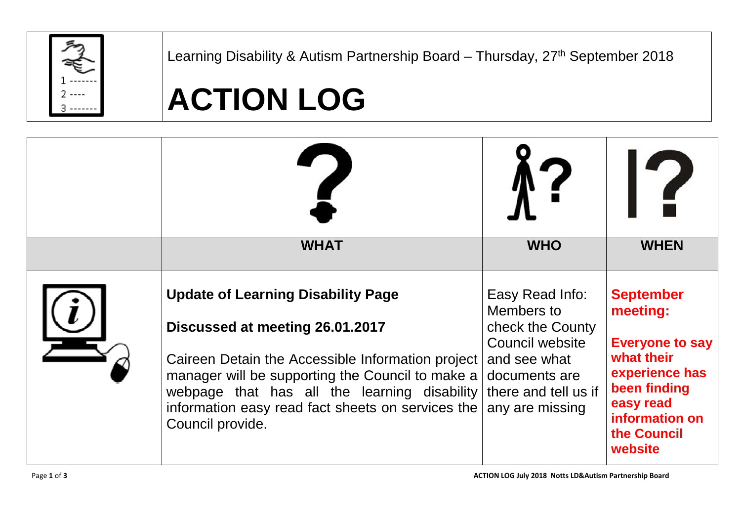

Learning Disability & Autism Partnership Board - Thursday, 27<sup>th</sup> September 2018

## **ACTION LOG**

| <b>WHAT</b>                                                                                                                                                                                                                                                                                                    | <b>WHO</b>                                                                                                                                       | $\epsilon$<br><b>WHEN</b>                                                                                                                                       |
|----------------------------------------------------------------------------------------------------------------------------------------------------------------------------------------------------------------------------------------------------------------------------------------------------------------|--------------------------------------------------------------------------------------------------------------------------------------------------|-----------------------------------------------------------------------------------------------------------------------------------------------------------------|
| <b>Update of Learning Disability Page</b><br>Discussed at meeting 26.01.2017<br>Caireen Detain the Accessible Information project<br>manager will be supporting the Council to make a<br>webpage that has all the learning disability<br>information easy read fact sheets on services the<br>Council provide. | Easy Read Info:<br>Members to<br>check the County<br>Council website<br>and see what<br>documents are<br>there and tell us if<br>any are missing | <b>September</b><br>meeting:<br><b>Everyone to say</b><br>what their<br>experience has<br>been finding<br>easy read<br>information on<br>the Council<br>website |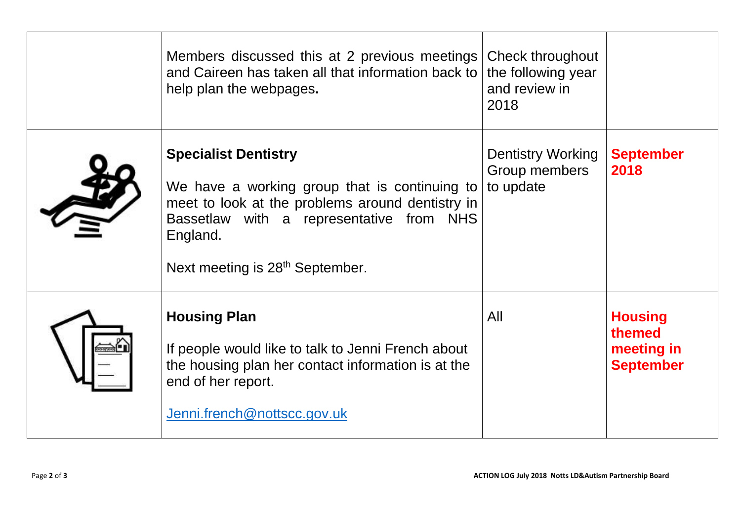| Members discussed this at 2 previous meetings<br>and Caireen has taken all that information back to<br>help plan the webpages.                                                                                                          | Check throughout<br>the following year<br>and review in<br>2018 |                                                            |
|-----------------------------------------------------------------------------------------------------------------------------------------------------------------------------------------------------------------------------------------|-----------------------------------------------------------------|------------------------------------------------------------|
| <b>Specialist Dentistry</b><br>We have a working group that is continuing to<br>meet to look at the problems around dentistry in<br>Bassetlaw with a representative from NHS<br>England.<br>Next meeting is 28 <sup>th</sup> September. | <b>Dentistry Working</b><br>Group members<br>to update          | <b>September</b><br>2018                                   |
| <b>Housing Plan</b><br>If people would like to talk to Jenni French about<br>the housing plan her contact information is at the<br>end of her report.<br>Jenni.french@nottscc.gov.uk                                                    | All                                                             | <b>Housing</b><br>themed<br>meeting in<br><b>September</b> |